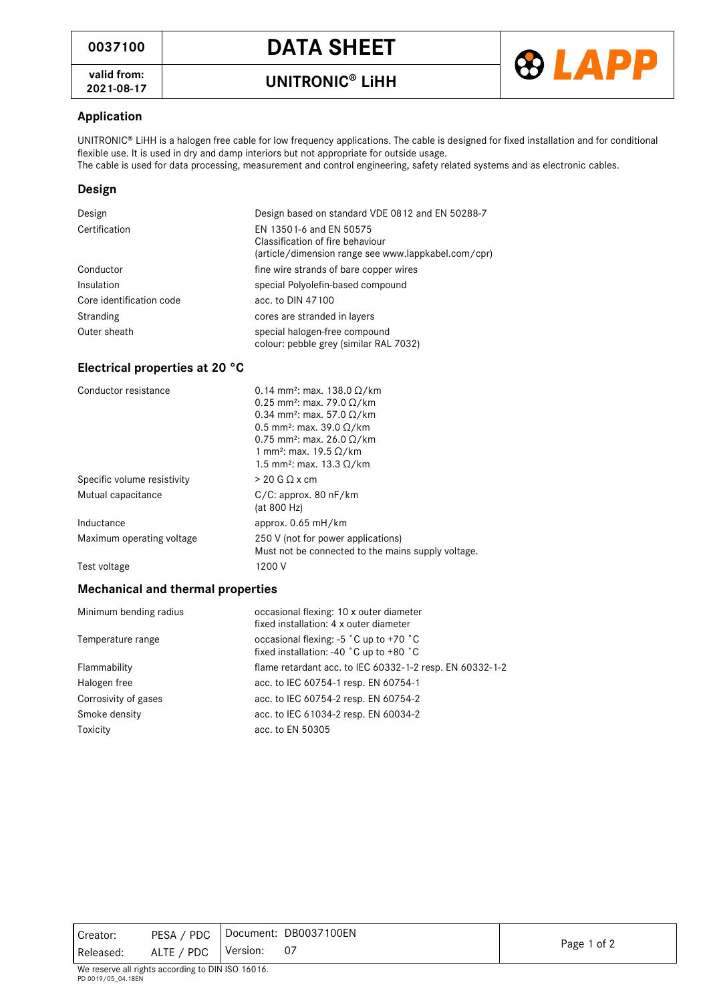**valid from:**



## **Application**

UNITRONIC® LiHH is a halogen free cable for low frequency applications. The cable is designed for fixed installation and for conditional flexible use. It is used in dry and damp interiors but not appropriate for outside usage. The cable is used for data processing, measurement and control engineering, safety related systems and as electronic cables.

## **Design**

| Design                   | Design based on standard VDE 0812 and EN 50288-7                                                                   |
|--------------------------|--------------------------------------------------------------------------------------------------------------------|
| Certification            | EN 13501-6 and EN 50575<br>Classification of fire behaviour<br>(article/dimension range see www.lappkabel.com/cpr) |
| Conductor                | fine wire strands of bare copper wires                                                                             |
| Insulation               | special Polyolefin-based compound                                                                                  |
| Core identification code | acc. to DIN 47100                                                                                                  |
| Stranding                | cores are stranded in layers                                                                                       |
| Outer sheath             | special halogen-free compound<br>colour: pebble grey (similar RAL 7032)                                            |

## **Electrical properties at 20 °C**

| Conductor resistance        | 0.14 mm <sup>2</sup> : max. 138.0 $\Omega$ /km                                           |
|-----------------------------|------------------------------------------------------------------------------------------|
|                             | 0.25 mm <sup>2</sup> : max. 79.0 $\Omega$ /km                                            |
|                             | 0.34 mm <sup>2</sup> : max. 57.0 $\Omega$ /km                                            |
|                             | 0.5 mm <sup>2</sup> : max. 39.0 $\Omega$ /km                                             |
|                             | 0.75 mm <sup>2</sup> : max. 26.0 $\Omega$ /km                                            |
|                             | 1 mm <sup>2</sup> : max. 19.5 $\Omega$ /km                                               |
|                             | 1.5 mm <sup>2</sup> ; max. 13.3 Ω/km                                                     |
| Specific volume resistivity | $> 20$ G Q x cm                                                                          |
| Mutual capacitance          | C/C: approx. 80 nF/km<br>(at 800 Hz)                                                     |
| Inductance                  | approx. $0.65$ mH/km                                                                     |
| Maximum operating voltage   | 250 V (not for power applications)<br>Must not be connected to the mains supply voltage. |
| Test voltage                | 1200 V                                                                                   |

## **Mechanical and thermal properties**

| occasional flexing: 10 x outer diameter<br>fixed installation: 4 x outer diameter                         |
|-----------------------------------------------------------------------------------------------------------|
| occasional flexing: $-5$ °C up to $+70$ °C<br>fixed installation: -40 $^{\circ}$ C up to +80 $^{\circ}$ C |
| flame retardant acc. to IEC 60332-1-2 resp. EN 60332-1-2                                                  |
| acc. to IEC 60754-1 resp. EN 60754-1                                                                      |
| acc. to IEC 60754-2 resp. EN 60754-2                                                                      |
| acc. to IEC 61034-2 resp. EN 60034-2                                                                      |
| acc. to EN 50305                                                                                          |
|                                                                                                           |